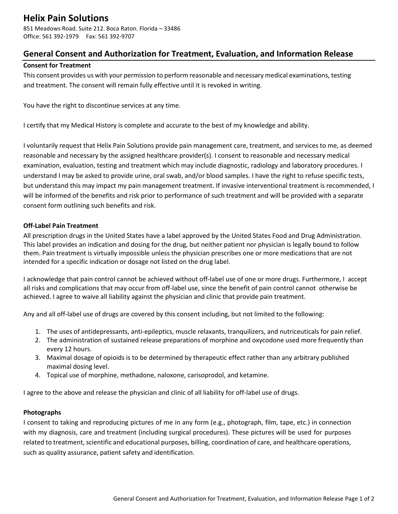# **Helix Pain Solutions**

851 Meadows Road. Suite 212. Boca Raton. Florida – 33486 Office: 561 392-1979 Fax: 561 392-9707

### **General Consent and Authorization for Treatment, Evaluation, and Information Release**

#### **Consent for Treatment**

This consent provides us with your permission to perform reasonable and necessary medical examinations, testing and treatment. The consent will remain fully effective until it is revoked in writing.

You have the right to discontinue services at any time.

I certify that my Medical History is complete and accurate to the best of my knowledge and ability.

I voluntarily request that Helix Pain Solutions provide pain management care, treatment, and services to me, as deemed reasonable and necessary by the assigned healthcare provider(s). I consent to reasonable and necessary medical examination, evaluation, testing and treatment which may include diagnostic, radiology and laboratory procedures. I understand I may be asked to provide urine, oral swab, and/or blood samples. I have the right to refuse specific tests, but understand this may impact my pain management treatment. If invasive interventional treatment is recommended, I will be informed of the benefits and risk prior to performance of such treatment and will be provided with a separate consent form outlining such benefits and risk.

#### **Off-Label Pain Treatment**

All prescription drugs in the United States have a label approved by the United States Food and Drug Administration. This label provides an indication and dosing for the drug, but neither patient nor physician is legally bound to follow them. Pain treatment is virtually impossible unless the physician prescribes one or more medications that are not intended for a specific indication or dosage not listed on the drug label.

I acknowledge that pain control cannot be achieved without off-label use of one or more drugs. Furthermore, I accept all risks and complications that may occur from off-label use, since the benefit of pain control cannot otherwise be achieved. I agree to waive all liability against the physician and clinic that provide pain treatment.

Any and all off-label use of drugs are covered by this consent including, but not limited to the following:

- 1. The uses of antidepressants, anti-epileptics, muscle relaxants, tranquilizers, and nutriceuticals for pain relief.
- 2. The administration of sustained release preparations of morphine and oxycodone used more frequently than every 12 hours.
- 3. Maximal dosage of opioids is to be determined by therapeutic effect rather than any arbitrary published maximal dosing level.
- 4. Topical use of morphine, methadone, naloxone, carisoprodol, and ketamine.

I agree to the above and release the physician and clinic of all liability for off-label use of drugs.

#### **Photographs**

I consent to taking and reproducing pictures of me in any form (e.g., photograph, film, tape, etc.) in connection with my diagnosis, care and treatment (including surgical procedures). These pictures will be used for purposes related to treatment, scientific and educational purposes, billing, coordination of care, and healthcare operations, such as quality assurance, patient safety and identification.